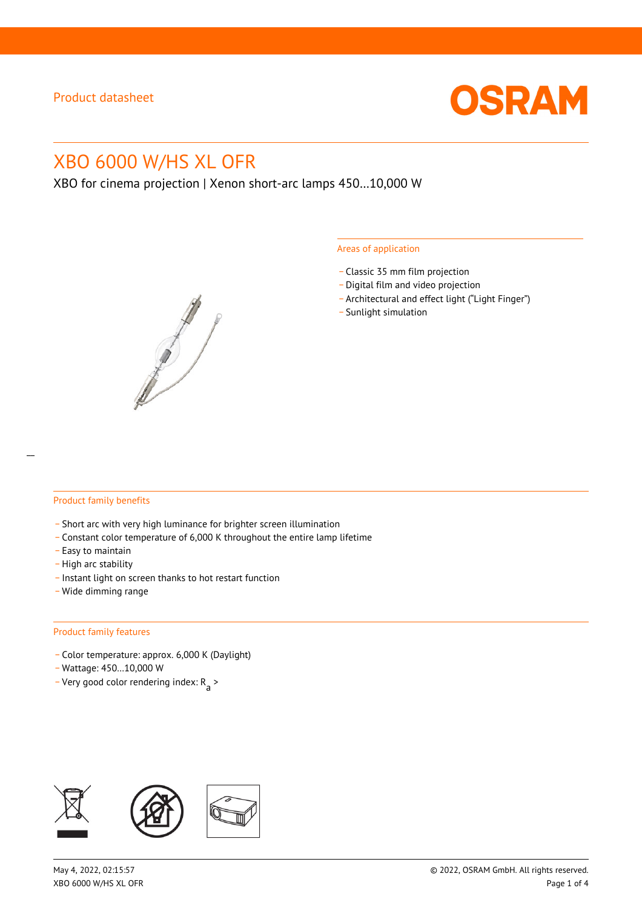

# XBO 6000 W/HS XL OFR

XBO for cinema projection | Xenon short-arc lamps 450…10,000 W



#### Areas of application

- \_ Classic 35 mm film projection
- \_ Digital film and video projection
- \_ Architectural and effect light ("Light Finger")
- Sunlight simulation

#### Product family benefits

- \_ Short arc with very high luminance for brighter screen illumination
- \_ Constant color temperature of 6,000 K throughout the entire lamp lifetime
- \_ Easy to maintain
- High arc stability
- \_ Instant light on screen thanks to hot restart function
- \_ Wide dimming range

#### Product family features

- \_ Color temperature: approx. 6,000 K (Daylight)
- \_ Wattage: 450…10,000 W
- Very good color rendering index:  $R_{\text{a}}$  >

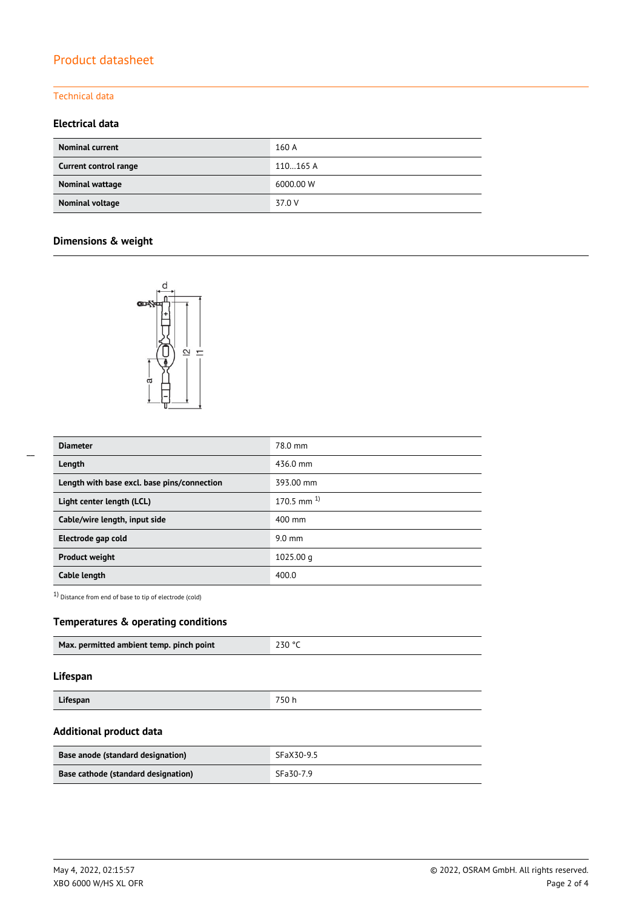# Product datasheet

## Technical data

### **Electrical data**

| <b>Nominal current</b> | 160 A     |
|------------------------|-----------|
| Current control range  | 110165 A  |
| Nominal wattage        | 6000.00 W |
| Nominal voltage        | 37.0 V    |

# **Dimensions & weight**



| <b>Diameter</b>                             | 78.0 mm         |
|---------------------------------------------|-----------------|
| Length                                      | 436.0 mm        |
| Length with base excl. base pins/connection | 393.00 mm       |
| Light center length (LCL)                   | 170.5 mm $^{1}$ |
| Cable/wire length, input side               | 400 mm          |
| Electrode gap cold                          | $9.0$ mm        |
| <b>Product weight</b>                       | $1025.00$ q     |
| Cable length                                | 400.0           |

1) Distance from end of base to tip of electrode (cold)

## **Temperatures & operating conditions**

| Max. permitted ambient temp. pinch point | 230 ° |
|------------------------------------------|-------|
|                                          |       |

#### **Lifespan**

**Lifespan** 750 h

## **Additional product data**

| Base anode (standard designation)   | SFaX30-9.5 |
|-------------------------------------|------------|
| Base cathode (standard designation) | SFa30-7.9  |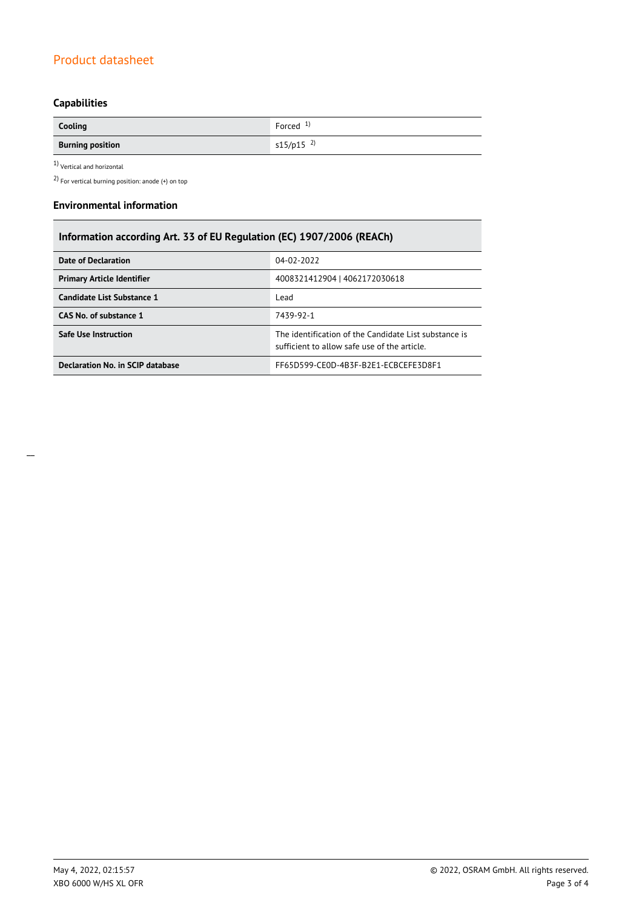# Product datasheet

# **Capabilities**

| Cooling                 | Forced $1$ )            |
|-------------------------|-------------------------|
| <b>Burning position</b> | $s15/p15$ <sup>2)</sup> |

1) Vertical and horizontal

2) For vertical burning position: anode (+) on top

#### **Environmental information**

| Information according Art. 33 of EU Regulation (EC) 1907/2006 (REACh) |                                                                                                      |  |  |  |
|-----------------------------------------------------------------------|------------------------------------------------------------------------------------------------------|--|--|--|
| <b>Date of Declaration</b>                                            | 04-02-2022                                                                                           |  |  |  |
| <b>Primary Article Identifier</b>                                     | 4008321412904   4062172030618                                                                        |  |  |  |
| Candidate List Substance 1                                            | Lead                                                                                                 |  |  |  |
| CAS No. of substance 1                                                | 7439-92-1                                                                                            |  |  |  |
| Safe Use Instruction                                                  | The identification of the Candidate List substance is<br>sufficient to allow safe use of the article |  |  |  |
| Declaration No. in SCIP database                                      | FF65D599-CE0D-4B3F-B2E1-ECBCEFE3D8F1                                                                 |  |  |  |